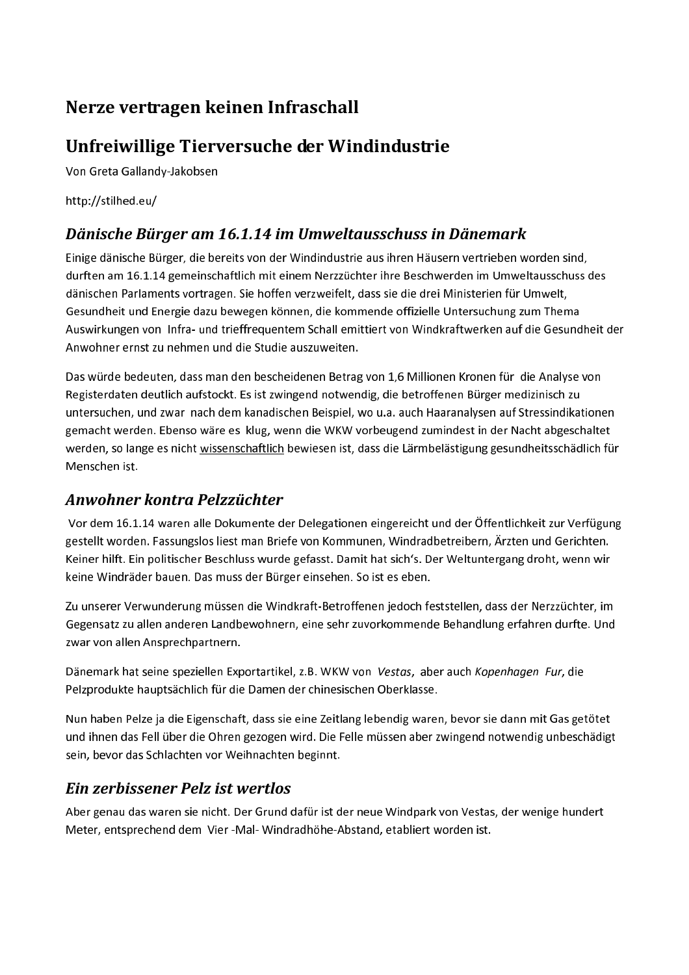# Nerze vertragen keinen Infraschall

## Unfreiwillige Tierversuche der Windindustrie

Von Greta Gallandy-Jakobsen

http://stilhed.eu/

#### Dänische Bürger am 16.1.14 im Umweltausschuss in Dänemark

Einige dänische Bürger, die bereits von der Windindustrie aus ihren Häusern vertrieben worden sind, durften am 16.1.14 gemeinschaftlich mit einem Nerzzüchter ihre Beschwerden im Umweltausschuss des dänischen Parlaments vortragen. Sie hoffen verzweifelt, dass sie die drei Ministerien für Umwelt, Gesundheit und Energie dazu bewegen können, die kommende offizielle Untersuchung zum Thema Auswirkungen von Infra- und trieffrequentem Schall emittiert von Windkraftwerken auf die Gesundheit der Anwohner ernst zu nehmen und die Studie auszuweiten.

Das würde bedeuten, dass man den bescheidenen Betrag von 1,6 Millionen Kronen für die Analyse von Registerdaten deutlich aufstockt. Es ist zwingend notwendig, die betroffenen Bürger medizinisch zu untersuchen, und zwar nach dem kanadischen Beispiel, wo u.a. auch Haaranalysen auf Stressindikationen gemacht werden. Ebenso wäre es klug, wenn die WKW vorbeugend zumindest in der Nacht abgeschaltet werden, so lange es nicht wissenschaftlich bewiesen ist, dass die Lärmbelästigung gesundheitsschädlich für Menschen ist.

#### Anwohner kontra Pelzzüchter

Vor dem 16.1.14 waren alle Dokumente der Delegationen eingereicht und der Öffentlichkeit zur Verfügung gestellt worden. Fassungslos liest man Briefe von Kommunen, Windradbetreibern, Ärzten und Gerichten. Keiner hilft. Ein politischer Beschluss wurde gefasst. Damit hat sich's. Der Weltuntergang droht, wenn wir keine Windräder bauen. Das muss der Bürger einsehen. So ist es eben.

Zu unserer Verwunderung müssen die Windkraft-Betroffenen jedoch feststellen, dass der Nerzzüchter, im Gegensatz zu allen anderen Landbewohnern, eine sehr zuvorkommende Behandlung erfahren durfte. Und zwar von allen Ansprechpartnern.

Dänemark hat seine speziellen Exportartikel, z.B. WKW von Vestas, aber auch Kopenhagen Fur, die Pelzprodukte hauptsächlich für die Damen der chinesischen Oberklasse.

Nun haben Pelze ja die Eigenschaft, dass sie eine Zeitlang lebendig waren, bevor sie dann mit Gas getötet und ihnen das Fell über die Ohren gezogen wird. Die Felle müssen aber zwingend notwendig unbeschädigt sein, bevor das Schlachten vor Weihnachten beginnt.

#### Ein zerbissener Pelz ist wertlos

Aber genau das waren sie nicht. Der Grund dafür ist der neue Windpark von Vestas, der wenige hundert Meter, entsprechend dem Vier -Mal- Windradhöhe-Abstand, etabliert worden ist.